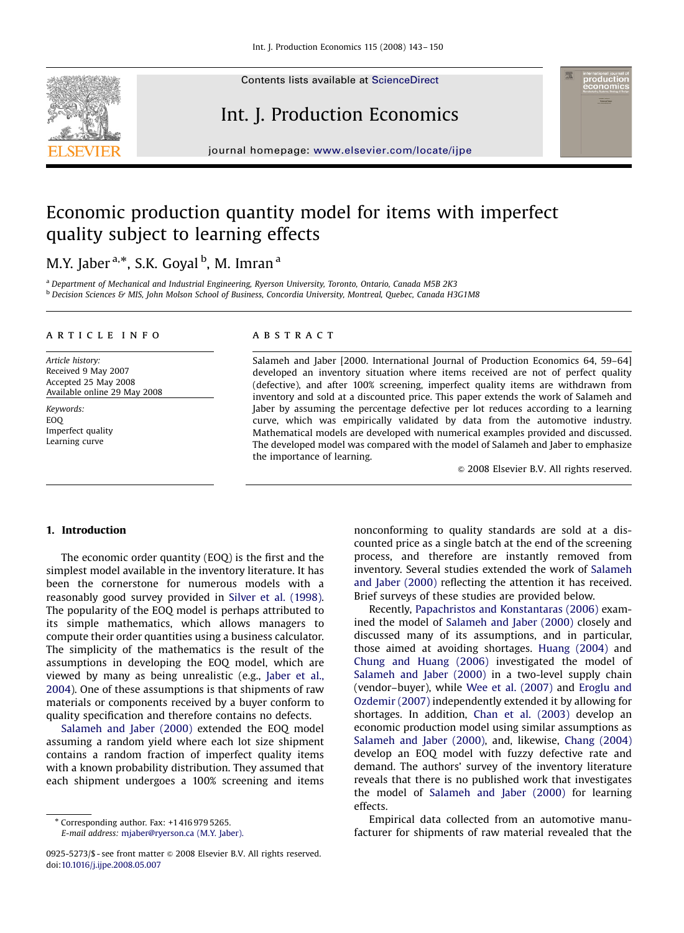

## Int. J. Production Economics

journal homepage: <www.elsevier.com/locate/ijpe>

### Economic production quantity model for items with imperfect quality subject to learning effects

### M.Y. Jaber <sup>a,</sup>\*, S.K. Goyal <sup>b</sup>, M. Imran <sup>a</sup>

<sup>a</sup> Department of Mechanical and Industrial Engineering, Ryerson University, Toronto, Ontario, Canada M5B 2K3 **b Decision Sciences & MIS, John Molson School of Business, Concordia University, Montreal, Quebec, Canada H3G1M8** 

#### article info

Article history: Received 9 May 2007 Accepted 25 May 2008 Available online 29 May 2008

Keywords: EOQ Imperfect quality Learning curve

#### **ABSTRACT**

Salameh and Jaber [2000. International Journal of Production Economics 64, 59–64] developed an inventory situation where items received are not of perfect quality (defective), and after 100% screening, imperfect quality items are withdrawn from inventory and sold at a discounted price. This paper extends the work of Salameh and Jaber by assuming the percentage defective per lot reduces according to a learning curve, which was empirically validated by data from the automotive industry. Mathematical models are developed with numerical examples provided and discussed. The developed model was compared with the model of Salameh and Jaber to emphasize the importance of learning.

 $\odot$  2008 Elsevier B.V. All rights reserved.

#### 1. Introduction

The economic order quantity (EOQ) is the first and the simplest model available in the inventory literature. It has been the cornerstone for numerous models with a reasonably good survey provided in [Silver et al. \(1998\)](#page--1-0). The popularity of the EOQ model is perhaps attributed to its simple mathematics, which allows managers to compute their order quantities using a business calculator. The simplicity of the mathematics is the result of the assumptions in developing the EOQ model, which are viewed by many as being unrealistic (e.g., [Jaber et al.,](#page--1-0) [2004](#page--1-0)). One of these assumptions is that shipments of raw materials or components received by a buyer conform to quality specification and therefore contains no defects.

[Salameh and Jaber \(2000\)](#page--1-0) extended the EOQ model assuming a random yield where each lot size shipment contains a random fraction of imperfect quality items with a known probability distribution. They assumed that each shipment undergoes a 100% screening and items

- Corresponding author. Fax: +1416 979 5265.

E-mail address: [mjaber@ryerson.ca \(M.Y. Jaber\).](mailto:mjaber@ryerson.ca)

nonconforming to quality standards are sold at a discounted price as a single batch at the end of the screening process, and therefore are instantly removed from inventory. Several studies extended the work of [Salameh](#page--1-0) [and Jaber \(2000\)](#page--1-0) reflecting the attention it has received. Brief surveys of these studies are provided below.

Recently, [Papachristos and Konstantaras \(2006\)](#page--1-0) examined the model of [Salameh and Jaber \(2000\)](#page--1-0) closely and discussed many of its assumptions, and in particular, those aimed at avoiding shortages. [Huang \(2004\)](#page--1-0) and [Chung and Huang \(2006\)](#page--1-0) investigated the model of [Salameh and Jaber \(2000\)](#page--1-0) in a two-level supply chain (vendor–buyer), while [Wee et al. \(2007\)](#page--1-0) and [Eroglu and](#page--1-0) [Ozdemir \(2007\)](#page--1-0) independently extended it by allowing for shortages. In addition, [Chan et al. \(2003\)](#page--1-0) develop an economic production model using similar assumptions as [Salameh and Jaber \(2000\),](#page--1-0) and, likewise, [Chang \(2004\)](#page--1-0) develop an EOQ model with fuzzy defective rate and demand. The authors' survey of the inventory literature reveals that there is no published work that investigates the model of [Salameh and Jaber \(2000\)](#page--1-0) for learning effects.

Empirical data collected from an automotive manufacturer for shipments of raw material revealed that the

<sup>0925-5273/\$ -</sup> see front matter  $\circ$  2008 Elsevier B.V. All rights reserved. doi:[10.1016/j.ijpe.2008.05.007](dx.doi.org/10.1016/j.ijpe.2008.05.007)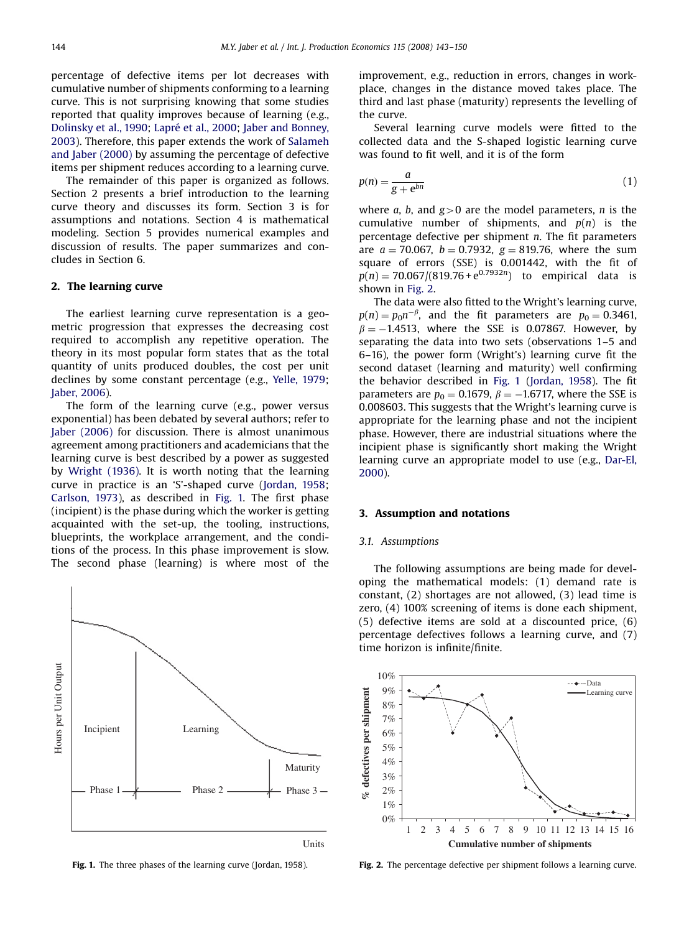percentage of defective items per lot decreases with cumulative number of shipments conforming to a learning curve. This is not surprising knowing that some studies reported that quality improves because of learning (e.g., [Dolinsky et al., 1990](#page--1-0); Lapré [et al., 2000](#page--1-0); [Jaber and Bonney,](#page--1-0) [2003](#page--1-0)). Therefore, this paper extends the work of [Salameh](#page--1-0) [and Jaber \(2000\)](#page--1-0) by assuming the percentage of defective items per shipment reduces according to a learning curve.

The remainder of this paper is organized as follows. Section 2 presents a brief introduction to the learning curve theory and discusses its form. Section 3 is for assumptions and notations. Section 4 is mathematical modeling. Section 5 provides numerical examples and discussion of results. The paper summarizes and concludes in Section 6.

### 2. The learning curve

The earliest learning curve representation is a geometric progression that expresses the decreasing cost required to accomplish any repetitive operation. The theory in its most popular form states that as the total quantity of units produced doubles, the cost per unit declines by some constant percentage (e.g., [Yelle, 1979](#page--1-0); [Jaber, 2006\)](#page--1-0).

The form of the learning curve (e.g., power versus exponential) has been debated by several authors; refer to [Jaber \(2006\)](#page--1-0) for discussion. There is almost unanimous agreement among practitioners and academicians that the learning curve is best described by a power as suggested by [Wright \(1936\).](#page--1-0) It is worth noting that the learning curve in practice is an 'S'-shaped curve ([Jordan, 1958](#page--1-0); [Carlson, 1973](#page--1-0)), as described in Fig. 1. The first phase (incipient) is the phase during which the worker is getting acquainted with the set-up, the tooling, instructions, blueprints, the workplace arrangement, and the conditions of the process. In this phase improvement is slow. The second phase (learning) is where most of the



Fig. 1. The three phases of the learning curve [\(Jordan, 1958](#page--1-0)).

improvement, e.g., reduction in errors, changes in workplace, changes in the distance moved takes place. The third and last phase (maturity) represents the levelling of the curve.

Several learning curve models were fitted to the collected data and the S-shaped logistic learning curve was found to fit well, and it is of the form

$$
p(n) = \frac{a}{g + e^{bn}}\tag{1}
$$

where a, b, and  $g>0$  are the model parameters, n is the cumulative number of shipments, and  $p(n)$  is the percentage defective per shipment  $n$ . The fit parameters are  $a = 70.067$ ,  $b = 0.7932$ ,  $g = 819.76$ , where the sum square of errors (SSE) is 0.001442, with the fit of  $p(n) = 70.067/(819.76 + e^{0.7932n})$  to empirical data is shown in Fig. 2.

The data were also fitted to the Wright's learning curve,  $p(n) = p_0 n^{-\beta}$ , and the fit parameters are  $p_0 = 0.3461$ ,  $\beta = -1.4513$ , where the SSE is 0.07867. However, by separating the data into two sets (observations 1–5 and 6–16), the power form (Wright's) learning curve fit the second dataset (learning and maturity) well confirming the behavior described in Fig. 1 [\(Jordan, 1958](#page--1-0)). The fit parameters are  $p_0 = 0.1679$ ,  $\beta = -1.6717$ , where the SSE is 0.008603. This suggests that the Wright's learning curve is appropriate for the learning phase and not the incipient phase. However, there are industrial situations where the incipient phase is significantly short making the Wright learning curve an appropriate model to use (e.g., [Dar-El,](#page--1-0) [2000](#page--1-0)).

#### 3. Assumption and notations

#### 3.1. Assumptions

The following assumptions are being made for developing the mathematical models: (1) demand rate is constant, (2) shortages are not allowed, (3) lead time is zero, (4) 100% screening of items is done each shipment, (5) defective items are sold at a discounted price, (6) percentage defectives follows a learning curve, and (7) time horizon is infinite/finite.



Fig. 2. The percentage defective per shipment follows a learning curve.